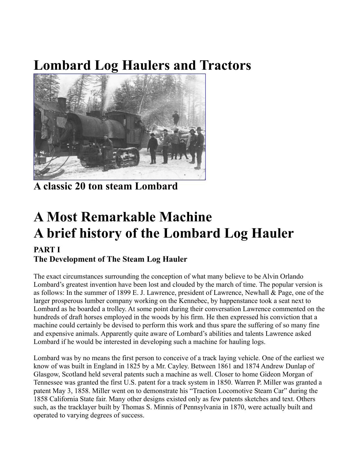## **Lombard Log Haulers and Tractors**



**A classic 20 ton steam Lombard**

## **A Most Remarkable Machine A brief history of the Lombard Log Hauler**

## **PART I The Development of The Steam Log Hauler**

The exact circumstances surrounding the conception of what many believe to be Alvin Orlando Lombard's greatest invention have been lost and clouded by the march of time. The popular version is as follows: In the summer of 1899 E. J. Lawrence, president of Lawrence, Newhall & Page, one of the larger prosperous lumber company working on the Kennebec, by happenstance took a seat next to Lombard as he boarded a trolley. At some point during their conversation Lawrence commented on the hundreds of draft horses employed in the woods by his firm. He then expressed his conviction that a machine could certainly be devised to perform this work and thus spare the suffering of so many fine and expensive animals. Apparently quite aware of Lombard's abilities and talents Lawrence asked Lombard if he would be interested in developing such a machine for hauling logs.

Lombard was by no means the first person to conceive of a track laying vehicle. One of the earliest we know of was built in England in 1825 by a Mr. Cayley. Between 1861 and 1874 Andrew Dunlap of Glasgow, Scotland held several patents such a machine as well. Closer to home Gideon Morgan of Tennessee was granted the first U.S. patent for a track system in 1850. Warren P. Miller was granted a patent May 3, 1858. Miller went on to demonstrate his "Traction Locomotive Steam Car" during the 1858 California State fair. Many other designs existed only as few patents sketches and text. Others such, as the tracklayer built by Thomas S. Minnis of Pennsylvania in 1870, were actually built and operated to varying degrees of success.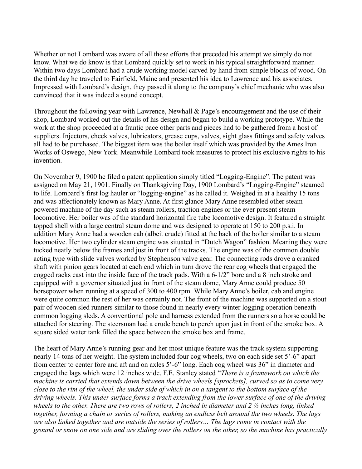Whether or not Lombard was aware of all these efforts that preceded his attempt we simply do not know. What we do know is that Lombard quickly set to work in his typical straightforward manner. Within two days Lombard had a crude working model carved by hand from simple blocks of wood. On the third day he traveled to Fairfield, Maine and presented his idea to Lawrence and his associates. Impressed with Lombard's design, they passed it along to the company's chief mechanic who was also convinced that it was indeed a sound concept.

Throughout the following year with Lawrence, Newhall & Page's encouragement and the use of their shop, Lombard worked out the details of his design and began to build a working prototype. While the work at the shop proceeded at a frantic pace other parts and pieces had to be gathered from a host of suppliers. Injectors, check valves, lubricators, grease cups, valves, sight glass fittings and safety valves all had to be purchased. The biggest item was the boiler itself which was provided by the Ames Iron Works of Oswego, New York. Meanwhile Lombard took measures to protect his exclusive rights to his invention.

On November 9, 1900 he filed a patent application simply titled "Logging-Engine". The patent was assigned on May 21, 1901. Finally on Thanksgiving Day, 1900 Lombard's "Logging-Engine" steamed to life. Lombard's first log hauler or "logging-engine" as he called it. Weighed in at a healthy 15 tons and was affectionately known as Mary Anne. At first glance Mary Anne resembled other steam powered machine of the day such as steam rollers, traction engines or the ever present steam locomotive. Her boiler was of the standard horizontal fire tube locomotive design. It featured a straight topped shell with a large central steam dome and was designed to operate at 150 to 200 p.s.i. In addition Mary Anne had a wooden cab (albeit crude) fitted at the back of the boiler similar to a steam locomotive. Her two cylinder steam engine was situated in "Dutch Wagon" fashion. Meaning they were tucked neatly below the frames and just in front of the tracks. The engine was of the common double acting type with slide valves worked by Stephenson valve gear. The connecting rods drove a cranked shaft with pinion gears located at each end which in turn drove the rear cog wheels that engaged the cogged racks cast into the inside face of the track pads. With a 6-1/2" bore and a 8 inch stroke and equipped with a governor situated just in front of the steam dome, Mary Anne could produce 50 horsepower when running at a speed of 300 to 400 rpm. While Mary Anne's boiler, cab and engine were quite common the rest of her was certainly not. The front of the machine was supported on a stout pair of wooden sled runners similar to those found in nearly every winter logging operation beneath common logging sleds. A conventional pole and harness extended from the runners so a horse could be attached for steering. The steersman had a crude bench to perch upon just in front of the smoke box. A square sided water tank filled the space between the smoke box and frame.

The heart of Mary Anne's running gear and her most unique feature was the track system supporting nearly 14 tons of her weight. The system included four cog wheels, two on each side set 5'-6" apart from center to center fore and aft and on axles 5'-6" long. Each cog wheel was 36" in diameter and engaged the lags which were 12 inches wide. F.E. Stanley stated "*There is a framework on which the machine is carried that extends down between the drive wheels [sprockets], curved so as to come very close to the rim of the wheel, the under side of which in on a tangent to the bottom surface of the driving wheels. This under surface forms a track extending from the lower surface of one of the driving wheels to the other. There are two rows of rollers, 2 inched in diameter and 2 ½ inches long, linked together, forming a chain or series of rollers, making an endless belt around the two wheels. The lags are also linked together and are outside the series of rollers… The lags come in contact with the ground or snow on one side and are sliding over the rollers on the other, so the machine has practically*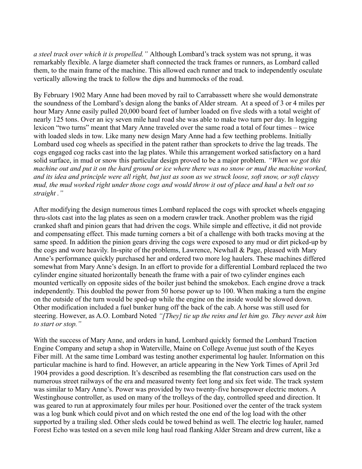*a steel track over which it is propelled."* Although Lombard's track system was not sprung, it was remarkably flexible. A large diameter shaft connected the track frames or runners, as Lombard called them, to the main frame of the machine. This allowed each runner and track to independently osculate vertically allowing the track to follow the dips and hummocks of the road.

By February 1902 Mary Anne had been moved by rail to Carrabassett where she would demonstrate the soundness of the Lombard's design along the banks of Alder stream. At a speed of 3 or 4 miles per hour Mary Anne easily pulled 20,000 board feet of lumber loaded on five sleds with a total weight of nearly 125 tons. Over an icy seven mile haul road she was able to make two turn per day. In logging lexicon "two turns" meant that Mary Anne traveled over the same road a total of four times – twice with loaded sleds in tow. Like many new design Mary Anne had a few teething problems. Initially Lombard used cog wheels as specified in the patent rather than sprockets to drive the lag treads. The cogs engaged cog racks cast into the lag plates. While this arrangement worked satisfactory on a hard solid surface, in mud or snow this particular design proved to be a major problem. *"When we got this machine out and put it on the hard ground or ice where there was no snow or mud the machine worked, and its idea and principle were all right, but just as soon as we struck loose, soft snow, or soft clayey mud, the mud worked right under those cogs and would throw it out of place and haul a belt out so straight ."*

After modifying the design numerous times Lombard replaced the cogs with sprocket wheels engaging thru-slots cast into the lag plates as seen on a modern crawler track. Another problem was the rigid cranked shaft and pinion gears that had driven the cogs. While simple and effective, it did not provide and compensating effect. This made turning corners a bit of a challenge with both tracks moving at the same speed. In addition the pinion gears driving the cogs were exposed to any mud or dirt picked-up by the cogs and wore heavily. In-spite of the problems, Lawrence, Newhall & Page, pleased with Mary Anne's performance quickly purchased her and ordered two more log haulers. These machines differed somewhat from Mary Anne's design. In an effort to provide for a differential Lombard replaced the two cylinder engine situated horizontally beneath the frame with a pair of two cylinder engines each mounted vertically on opposite sides of the boiler just behind the smokebox. Each engine drove a track independently. This doubled the power from 50 horse power up to 100. When making a turn the engine on the outside of the turn would be sped-up while the engine on the inside would be slowed down. Other modification included a fuel bunker hung off the back of the cab. A horse was still used for steering. However, as A.O. Lombard Noted *"[They] tie up the reins and let him go. They never ask him to start or stop."* 

With the success of Mary Anne, and orders in hand, Lombard quickly formed the Lombard Traction Engine Company and setup a shop in Waterville, Maine on College Avenue just south of the Keyes Fiber mill. At the same time Lombard was testing another experimental log hauler. Information on this particular machine is hard to find. However, an article appearing in the New York Times of April 3rd 1904 provides a good description. It's described as resembling the flat construction cars used on the numerous street railways of the era and measured twenty feet long and six feet wide. The track system was similar to Mary Anne's. Power was provided by two twenty-five horsepower electric motors. A Westinghouse controller, as used on many of the trolleys of the day, controlled speed and direction. It was geared to run at approximately four miles per hour. Positioned over the center of the track system was a log bunk which could pivot and on which rested the one end of the log load with the other supported by a trailing sled. Other sleds could be towed behind as well. The electric log hauler, named Forest Echo was tested on a seven mile long haul road flanking Alder Stream and drew current, like a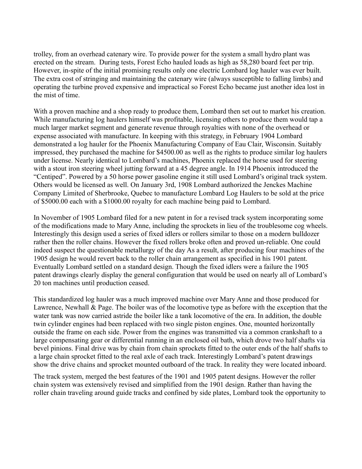trolley, from an overhead catenary wire. To provide power for the system a small hydro plant was erected on the stream. During tests, Forest Echo hauled loads as high as 58,280 board feet per trip. However, in-spite of the initial promising results only one electric Lombard log hauler was ever built. The extra cost of stringing and maintaining the catenary wire (always susceptible to falling limbs) and operating the turbine proved expensive and impractical so Forest Echo became just another idea lost in the mist of time.

With a proven machine and a shop ready to produce them, Lombard then set out to market his creation. While manufacturing log haulers himself was profitable, licensing others to produce them would tap a much larger market segment and generate revenue through royalties with none of the overhead or expense associated with manufacture. In keeping with this strategy, in February 1904 Lombard demonstrated a log hauler for the Phoenix Manufacturing Company of Eau Clair, Wisconsin. Suitably impressed, they purchased the machine for \$4500.00 as well as the rights to produce similar log haulers under license. Nearly identical to Lombard's machines, Phoenix replaced the horse used for steering with a stout iron steering wheel jutting forward at a 45 degree angle. In 1914 Phoenix introduced the "Centiped". Powered by a 50 horse power gasoline engine it still used Lombard's original track system. Others would be licensed as well. On January 3rd, 1908 Lombard authorized the Jenckes Machine Company Limited of Sherbrooke, Quebec to manufacture Lombard Log Haulers to be sold at the price of \$5000.00 each with a \$1000.00 royalty for each machine being paid to Lombard.

In November of 1905 Lombard filed for a new patent in for a revised track system incorporating some of the modifications made to Mary Anne, including the sprockets in lieu of the troublesome cog wheels. Interestingly this design used a series of fixed idlers or rollers similar to those on a modern bulldozer rather then the roller chains. However the fixed rollers broke often and proved un-reliable. One could indeed suspect the questionable metallurgy of the day As a result, after producing four machines of the 1905 design he would revert back to the roller chain arrangement as specified in his 1901 patent. Eventually Lombard settled on a standard design. Though the fixed idlers were a failure the 1905 patent drawings clearly display the general configuration that would be used on nearly all of Lombard's 20 ton machines until production ceased.

This standardized log hauler was a much improved machine over Mary Anne and those produced for Lawrence, Newhall  $\&$  Page. The boiler was of the locomotive type as before with the exception that the water tank was now carried astride the boiler like a tank locomotive of the era. In addition, the double twin cylinder engines had been replaced with two single piston engines. One, mounted horizontally outside the frame on each side. Power from the engines was transmitted via a common crankshaft to a large compensating gear or differential running in an enclosed oil bath, which drove two half shafts via bevel pinions. Final drive was by chain from chain sprockets fitted to the outer ends of the half shafts to a large chain sprocket fitted to the real axle of each track. Interestingly Lombard's patent drawings show the drive chains and sprocket mounted outboard of the track. In reality they were located inboard.

The track system, merged the best features of the 1901 and 1905 patent designs. However the roller chain system was extensively revised and simplified from the 1901 design. Rather than having the roller chain traveling around guide tracks and confined by side plates, Lombard took the opportunity to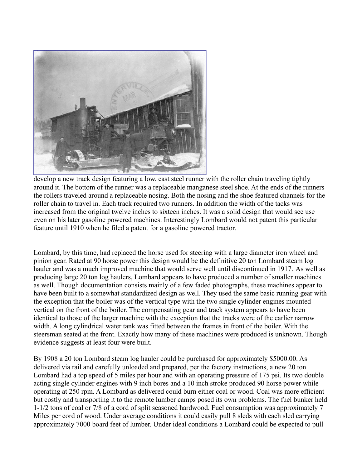

develop a new track design featuring a low, cast steel runner with the roller chain traveling tightly around it. The bottom of the runner was a replaceable manganese steel shoe. At the ends of the runners the rollers traveled around a replaceable nosing. Both the nosing and the shoe featured channels for the roller chain to travel in. Each track required two runners. In addition the width of the tacks was increased from the original twelve inches to sixteen inches. It was a solid design that would see use even on his later gasoline powered machines. Interestingly Lombard would not patent this particular feature until 1910 when he filed a patent for a gasoline powered tractor.

Lombard, by this time, had replaced the horse used for steering with a large diameter iron wheel and pinion gear. Rated at 90 horse power this design would be the definitive 20 ton Lombard steam log hauler and was a much improved machine that would serve well until discontinued in 1917. As well as producing large 20 ton log haulers, Lombard appears to have produced a number of smaller machines as well. Though documentation consists mainly of a few faded photographs, these machines appear to have been built to a somewhat standardized design as well. They used the same basic running gear with the exception that the boiler was of the vertical type with the two single cylinder engines mounted vertical on the front of the boiler. The compensating gear and track system appears to have been identical to those of the larger machine with the exception that the tracks were of the earlier narrow width. A long cylindrical water tank was fitted between the frames in front of the boiler. With the steersman seated at the front. Exactly how many of these machines were produced is unknown. Though evidence suggests at least four were built.

By 1908 a 20 ton Lombard steam log hauler could be purchased for approximately \$5000.00. As delivered via rail and carefully unloaded and prepared, per the factory instructions, a new 20 ton Lombard had a top speed of 5 miles per hour and with an operating pressure of 175 psi. Its two double acting single cylinder engines with 9 inch bores and a 10 inch stroke produced 90 horse power while operating at 250 rpm. A Lombard as delivered could burn either coal or wood. Coal was more efficient but costly and transporting it to the remote lumber camps posed its own problems. The fuel bunker held 1-1/2 tons of coal or 7/8 of a cord of split seasoned hardwood. Fuel consumption was approximately 7 Miles per cord of wood. Under average conditions it could easily pull 8 sleds with each sled carrying approximately 7000 board feet of lumber. Under ideal conditions a Lombard could be expected to pull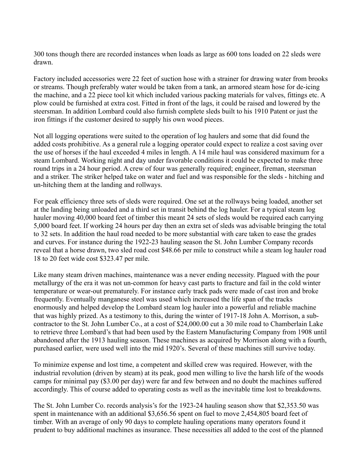300 tons though there are recorded instances when loads as large as 600 tons loaded on 22 sleds were drawn.

Factory included accessories were 22 feet of suction hose with a strainer for drawing water from brooks or streams. Though preferably water would be taken from a tank, an armored steam hose for de-icing the machine, and a 22 piece tool kit which included various packing materials for valves, fittings etc. A plow could be furnished at extra cost. Fitted in front of the lags, it could be raised and lowered by the steersman. In addition Lombard could also furnish complete sleds built to his 1910 Patent or just the iron fittings if the customer desired to supply his own wood pieces.

Not all logging operations were suited to the operation of log haulers and some that did found the added costs prohibitive. As a general rule a logging operator could expect to realize a cost saving over the use of horses if the haul exceeded 4 miles in length. A 14 mile haul was considered maximum for a steam Lombard. Working night and day under favorable conditions it could be expected to make three round trips in a 24 hour period. A crew of four was generally required; engineer, fireman, steersman and a striker. The striker helped take on water and fuel and was responsible for the sleds - hitching and un-hitching them at the landing and rollways.

For peak efficiency three sets of sleds were required. One set at the rollways being loaded, another set at the landing being unloaded and a third set in transit behind the log hauler. For a typical steam log hauler moving 40,000 board feet of timber this meant 24 sets of sleds would be required each carrying 5,000 board feet. If working 24 hours per day then an extra set of sleds was advisable bringing the total to 32 sets. In addition the haul road needed to be more substantial with care taken to ease the grades and curves. For instance during the 1922-23 hauling season the St. John Lumber Company records reveal that a horse drawn, two sled road cost \$48.66 per mile to construct while a steam log hauler road 18 to 20 feet wide cost \$323.47 per mile.

Like many steam driven machines, maintenance was a never ending necessity. Plagued with the pour metallurgy of the era it was not un-common for heavy cast parts to fracture and fail in the cold winter temperature or wear-out prematurely. For instance early track pads were made of cast iron and broke frequently. Eventually manganese steel was used which increased the life span of the tracks enormously and helped develop the Lombard steam log hauler into a powerful and reliable machine that was highly prized. As a testimony to this, during the winter of 1917-18 John A. Morrison, a subcontractor to the St. John Lumber Co., at a cost of \$24,000.00 cut a 30 mile road to Chamberlain Lake to retrieve three Lombard's that had been used by the Eastern Manufacturing Company from 1908 until abandoned after the 1913 hauling season. These machines as acquired by Morrison along with a fourth, purchased earlier, were used well into the mid 1920's. Several of these machines still survive today.

To minimize expense and lost time, a competent and skilled crew was required. However, with the industrial revolution (driven by steam) at its peak, good men willing to live the harsh life of the woods camps for minimal pay (\$3.00 per day) were far and few between and no doubt the machines suffered accordingly. This of course added to operating costs as well as the inevitable time lost to breakdowns.

The St. John Lumber Co. records analysis's for the 1923-24 hauling season show that \$2,353.50 was spent in maintenance with an additional \$3,656.56 spent on fuel to move 2,454,805 board feet of timber. With an average of only 90 days to complete hauling operations many operators found it prudent to buy additional machines as insurance. These necessities all added to the cost of the planned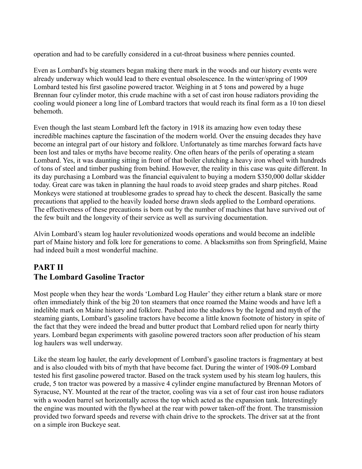operation and had to be carefully considered in a cut-throat business where pennies counted.

Even as Lombard's big steamers began making there mark in the woods and our history events were already underway which would lead to there eventual obsolescence. In the winter/spring of 1909 Lombard tested his first gasoline powered tractor. Weighing in at 5 tons and powered by a huge Brennan four cylinder motor, this crude machine with a set of cast iron house radiators providing the cooling would pioneer a long line of Lombard tractors that would reach its final form as a 10 ton diesel behemoth.

Even though the last steam Lombard left the factory in 1918 its amazing how even today these incredible machines capture the fascination of the modern world. Over the ensuing decades they have become an integral part of our history and folklore. Unfortunately as time marches forward facts have been lost and tales or myths have become reality. One often hears of the perils of operating a steam Lombard. Yes, it was daunting sitting in front of that boiler clutching a heavy iron wheel with hundreds of tons of steel and timber pushing from behind. However, the reality in this case was quite different. In its day purchasing a Lombard was the financial equivalent to buying a modern \$350,000 dollar skidder today. Great care was taken in planning the haul roads to avoid steep grades and sharp pitches. Road Monkeys were stationed at troublesome grades to spread hay to check the descent. Basically the same precautions that applied to the heavily loaded horse drawn sleds applied to the Lombard operations. The effectiveness of these precautions is born out by the number of machines that have survived out of the few built and the longevity of their service as well as surviving documentation.

Alvin Lombard's steam log hauler revolutionized woods operations and would become an indelible part of Maine history and folk lore for generations to come. A blacksmiths son from Springfield, Maine had indeed built a most wonderful machine.

## **PART II The Lombard Gasoline Tractor**

Most people when they hear the words 'Lombard Log Hauler' they either return a blank stare or more often immediately think of the big 20 ton steamers that once roamed the Maine woods and have left a indelible mark on Maine history and folklore. Pushed into the shadows by the legend and myth of the steaming giants, Lombard's gasoline tractors have become a little known footnote of history in spite of the fact that they were indeed the bread and butter product that Lombard relied upon for nearly thirty years. Lombard began experiments with gasoline powered tractors soon after production of his steam log haulers was well underway.

Like the steam log hauler, the early development of Lombard's gasoline tractors is fragmentary at best and is also clouded with bits of myth that have become fact. During the winter of 1908-09 Lombard tested his first gasoline powered tractor. Based on the track system used by his steam log haulers, this crude, 5 ton tractor was powered by a massive 4 cylinder engine manufactured by Brennan Motors of Syracuse, NY. Mounted at the rear of the tractor, cooling was via a set of four cast iron house radiators with a wooden barrel set horizontally across the top which acted as the expansion tank. Interestingly the engine was mounted with the flywheel at the rear with power taken-off the front. The transmission provided two forward speeds and reverse with chain drive to the sprockets. The driver sat at the front on a simple iron Buckeye seat.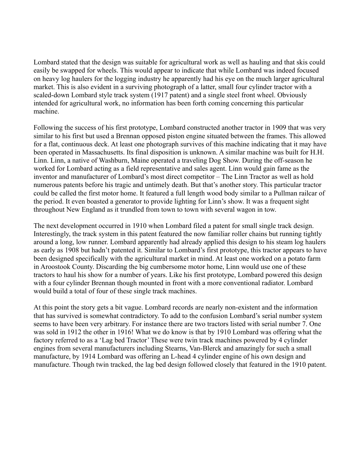Lombard stated that the design was suitable for agricultural work as well as hauling and that skis could easily be swapped for wheels. This would appear to indicate that while Lombard was indeed focused on heavy log haulers for the logging industry he apparently had his eye on the much larger agricultural market. This is also evident in a surviving photograph of a latter, small four cylinder tractor with a scaled-down Lombard style track system (1917 patent) and a single steel front wheel. Obviously intended for agricultural work, no information has been forth coming concerning this particular machine.

Following the success of his first prototype, Lombard constructed another tractor in 1909 that was very similar to his first but used a Brennan opposed piston engine situated between the frames. This allowed for a flat, continuous deck. At least one photograph survives of this machine indicating that it may have been operated in Massachusetts. Its final disposition is unknown. A similar machine was built for H.H. Linn. Linn, a native of Washburn, Maine operated a traveling Dog Show. During the off-season he worked for Lombard acting as a field representative and sales agent. Linn would gain fame as the inventor and manufacturer of Lombard's most direct competitor – The Linn Tractor as well as hold numerous patents before his tragic and untimely death. But that's another story. This particular tractor could be called the first motor home. It featured a full length wood body similar to a Pullman railcar of the period. It even boasted a generator to provide lighting for Linn's show. It was a frequent sight throughout New England as it trundled from town to town with several wagon in tow.

The next development occurred in 1910 when Lombard filed a patent for small single track design. Interestingly, the track system in this patent featured the now familiar roller chains but running tightly around a long, low runner. Lombard apparently had already applied this design to his steam log haulers as early as 1908 but hadn't patented it. Similar to Lombard's first prototype, this tractor appears to have been designed specifically with the agricultural market in mind. At least one worked on a potato farm in Aroostook County. Discarding the big cumbersome motor home, Linn would use one of these tractors to haul his show for a number of years. Like his first prototype, Lombard powered this design with a four cylinder Brennan though mounted in front with a more conventional radiator. Lombard would build a total of four of these single track machines.

At this point the story gets a bit vague. Lombard records are nearly non-existent and the information that has survived is somewhat contradictory. To add to the confusion Lombard's serial number system seems to have been very arbitrary. For instance there are two tractors listed with serial number 7. One was sold in 1912 the other in 1916! What we do know is that by 1910 Lombard was offering what the factory referred to as a 'Lag bed Tractor' These were twin track machines powered by 4 cylinder engines from several manufacturers including Stearns, Van-Blerck and amazingly for such a small manufacture, by 1914 Lombard was offering an L-head 4 cylinder engine of his own design and manufacture. Though twin tracked, the lag bed design followed closely that featured in the 1910 patent.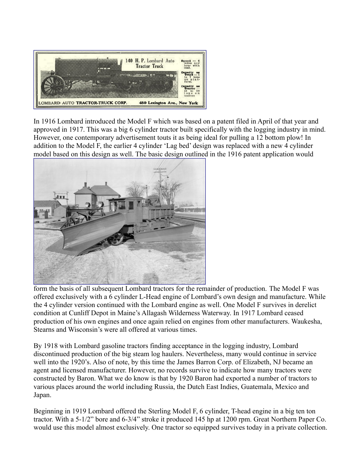

In 1916 Lombard introduced the Model F which was based on a patent filed in April of that year and approved in 1917. This was a big 6 cylinder tractor built specifically with the logging industry in mind. However, one contemporary advertisement touts it as being ideal for pulling a 12 bottom plow! In addition to the Model F, the earlier 4 cylinder 'Lag bed' design was replaced with a new 4 cylinder model based on this design as well. The basic design outlined in the 1916 patent application would



form the basis of all subsequent Lombard tractors for the remainder of production. The Model F was offered exclusively with a 6 cylinder L-Head engine of Lombard's own design and manufacture. While the 4 cylinder version continued with the Lombard engine as well. One Model F survives in derelict condition at Cunliff Depot in Maine's Allagash Wilderness Waterway. In 1917 Lombard ceased production of his own engines and once again relied on engines from other manufacturers. Waukesha, Stearns and Wisconsin's were all offered at various times.

By 1918 with Lombard gasoline tractors finding acceptance in the logging industry, Lombard discontinued production of the big steam log haulers. Nevertheless, many would continue in service well into the 1920's. Also of note, by this time the James Barron Corp. of Elizabeth, NJ became an agent and licensed manufacturer. However, no records survive to indicate how many tractors were constructed by Baron. What we do know is that by 1920 Baron had exported a number of tractors to various places around the world including Russia, the Dutch East Indies, Guatemala, Mexico and Japan.

Beginning in 1919 Lombard offered the Sterling Model F, 6 cylinder, T-head engine in a big ten ton tractor. With a 5-1/2" bore and 6-3/4" stroke it produced 145 hp at 1200 rpm. Great Northern Paper Co. would use this model almost exclusively. One tractor so equipped survives today in a private collection.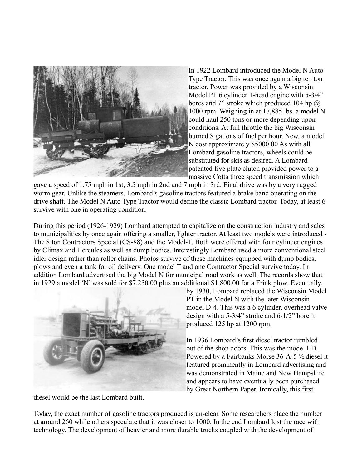

In 1922 Lombard introduced the Model N Auto Type Tractor. This was once again a big ten ton tractor. Power was provided by a Wisconsin Model PT 6 cylinder T-head engine with 5-3/4" bores and 7" stroke which produced 104 hp  $\omega$ 1000 rpm. Weighing in at 17,885 lbs. a model N could haul 250 tons or more depending upon conditions. At full throttle the big Wisconsin burned 8 gallons of fuel per hour. New, a model N cost approximately \$5000.00 As with all Lombard gasoline tractors, wheels could be substituted for skis as desired. A Lombard patented five plate clutch provided power to a massive Cotta three speed transmission which

gave a speed of 1.75 mph in 1st, 3.5 mph in 2nd and 7 mph in 3rd. Final drive was by a very rugged worm gear. Unlike the steamers, Lombard's gasoline tractors featured a brake band operating on the drive shaft. The Model N Auto Type Tractor would define the classic Lombard tractor. Today, at least 6 survive with one in operating condition.

During this period (1926-1929) Lombard attempted to capitalize on the construction industry and sales to municipalities by once again offering a smaller, lighter tractor. At least two models were introduced - The 8 ton Contractors Special (CS-88) and the Model-T. Both were offered with four cylinder engines by Climax and Hercules as well as dump bodies. Interestingly Lombard used a more conventional steel idler design rather than roller chains. Photos survive of these machines equipped with dump bodies, plows and even a tank for oil delivery. One model T and one Contractor Special survive today. In addition Lombard advertised the big Model N for municipal road work as well. The records show that in 1929 a model 'N' was sold for \$7,250.00 plus an additional \$1,800.00 for a Frink plow. Eventually,



by 1930, Lombard replaced the Wisconsin Model PT in the Model N with the later Wisconsin model D-4. This was a 6 cylinder, overhead valve design with a 5-3/4" stroke and 6-1/2" bore it produced 125 hp at 1200 rpm.

In 1936 Lombard's first diesel tractor rumbled out of the shop doors. This was the model LD. Powered by a Fairbanks Morse 36-A-5 ½ diesel it featured prominently in Lombard advertising and was demonstrated in Maine and New Hampshire and appears to have eventually been purchased by Great Northern Paper. Ironically, this first

diesel would be the last Lombard built.

Today, the exact number of gasoline tractors produced is un-clear. Some researchers place the number at around 260 while others speculate that it was closer to 1000. In the end Lombard lost the race with technology. The development of heavier and more durable trucks coupled with the development of